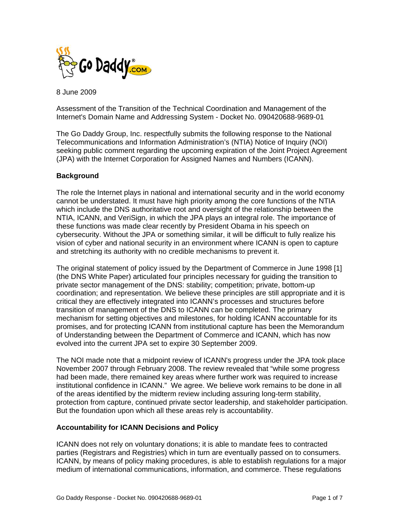

8 June 2009

Assessment of the Transition of the Technical Coordination and Management of the Internet's Domain Name and Addressing System - Docket No. 090420688-9689-01

The Go Daddy Group, Inc. respectfully submits the following response to the National Telecommunications and Information Administration's (NTIA) Notice of Inquiry (NOI) seeking public comment regarding the upcoming expiration of the Joint Project Agreement (JPA) with the Internet Corporation for Assigned Names and Numbers (ICANN).

### **Background**

The role the Internet plays in national and international security and in the world economy cannot be understated. It must have high priority among the core functions of the NTIA which include the DNS authoritative root and oversight of the relationship between the NTIA, ICANN, and VeriSign, in which the JPA plays an integral role. The importance of these functions was made clear recently by President Obama in his speech on cybersecurity. Without the JPA or something similar, it will be difficult to fully realize his vision of cyber and national security in an environment where ICANN is open to capture and stretching its authority with no credible mechanisms to prevent it.

The original statement of policy issued by the Department of Commerce in June 1998 [1] (the DNS White Paper) articulated four principles necessary for guiding the transition to private sector management of the DNS: stability; competition; private, bottom-up coordination; and representation. We believe these principles are still appropriate and it is critical they are effectively integrated into ICANN's processes and structures before transition of management of the DNS to ICANN can be completed. The primary mechanism for setting objectives and milestones, for holding ICANN accountable for its promises, and for protecting ICANN from institutional capture has been the Memorandum of Understanding between the Department of Commerce and ICANN, which has now evolved into the current JPA set to expire 30 September 2009.

The NOI made note that a midpoint review of ICANN's progress under the JPA took place November 2007 through February 2008. The review revealed that "while some progress had been made, there remained key areas where further work was required to increase institutional confidence in ICANN." We agree. We believe work remains to be done in all of the areas identified by the midterm review including assuring long-term stability, protection from capture, continued private sector leadership, and stakeholder participation. But the foundation upon which all these areas rely is accountability.

#### **Accountability for ICANN Decisions and Policy**

ICANN does not rely on voluntary donations; it is able to mandate fees to contracted parties (Registrars and Registries) which in turn are eventually passed on to consumers. ICANN, by means of policy making procedures, is able to establish regulations for a major medium of international communications, information, and commerce. These regulations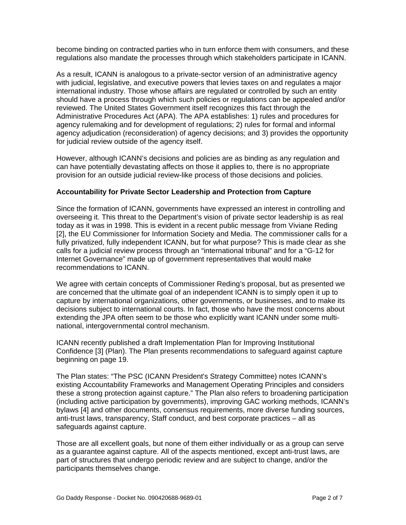become binding on contracted parties who in turn enforce them with consumers, and these regulations also mandate the processes through which stakeholders participate in ICANN.

As a result, ICANN is analogous to a private-sector version of an administrative agency with judicial, legislative, and executive powers that levies taxes on and regulates a major international industry. Those whose affairs are regulated or controlled by such an entity should have a process through which such policies or regulations can be appealed and/or reviewed. The United States Government itself recognizes this fact through the Administrative Procedures Act (APA). The APA establishes: 1) rules and procedures for agency rulemaking and for development of regulations; 2) rules for formal and informal agency adjudication (reconsideration) of agency decisions; and 3) provides the opportunity for judicial review outside of the agency itself.

However, although ICANN's decisions and policies are as binding as any regulation and can have potentially devastating affects on those it applies to, there is no appropriate provision for an outside judicial review-like process of those decisions and policies.

#### **Accountability for Private Sector Leadership and Protection from Capture**

Since the formation of ICANN, governments have expressed an interest in controlling and overseeing it. This threat to the Department's vision of private sector leadership is as real today as it was in 1998. This is evident in a recent public message from Viviane Reding [2], the EU Commissioner for Information Society and Media. The commissioner calls for a fully privatized, fully independent ICANN, but for what purpose? This is made clear as she calls for a judicial review process through an "international tribunal" and for a "G-12 for Internet Governance" made up of government representatives that would make recommendations to ICANN.

We agree with certain concepts of Commissioner Reding's proposal, but as presented we are concerned that the ultimate goal of an independent ICANN is to simply open it up to capture by international organizations, other governments, or businesses, and to make its decisions subject to international courts. In fact, those who have the most concerns about extending the JPA often seem to be those who explicitly want ICANN under some multinational, intergovernmental control mechanism.

ICANN recently published a draft Implementation Plan for Improving Institutional Confidence [3] (Plan). The Plan presents recommendations to safeguard against capture beginning on page 19.

The Plan states: "The PSC (ICANN President's Strategy Committee) notes ICANN's existing Accountability Frameworks and Management Operating Principles and considers these a strong protection against capture." The Plan also refers to broadening participation (including active participation by governments), improving GAC working methods, ICANN's bylaws [4] and other documents, consensus requirements, more diverse funding sources, anti-trust laws, transparency, Staff conduct, and best corporate practices – all as safeguards against capture.

Those are all excellent goals, but none of them either individually or as a group can serve as a guarantee against capture. All of the aspects mentioned, except anti-trust laws, are part of structures that undergo periodic review and are subject to change, and/or the participants themselves change.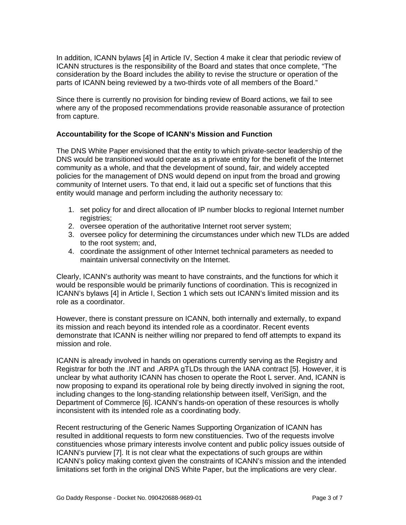In addition, ICANN bylaws [4] in Article IV, Section 4 make it clear that periodic review of ICANN structures is the responsibility of the Board and states that once complete, "The consideration by the Board includes the ability to revise the structure or operation of the parts of ICANN being reviewed by a two-thirds vote of all members of the Board."

Since there is currently no provision for binding review of Board actions, we fail to see where any of the proposed recommendations provide reasonable assurance of protection from capture.

### **Accountability for the Scope of ICANN's Mission and Function**

The DNS White Paper envisioned that the entity to which private-sector leadership of the DNS would be transitioned would operate as a private entity for the benefit of the Internet community as a whole, and that the development of sound, fair, and widely accepted policies for the management of DNS would depend on input from the broad and growing community of Internet users. To that end, it laid out a specific set of functions that this entity would manage and perform including the authority necessary to:

- 1. set policy for and direct allocation of IP number blocks to regional Internet number registries;
- 2. oversee operation of the authoritative Internet root server system;
- 3. oversee policy for determining the circumstances under which new TLDs are added to the root system; and,
- 4. coordinate the assignment of other Internet technical parameters as needed to maintain universal connectivity on the Internet.

Clearly, ICANN's authority was meant to have constraints, and the functions for which it would be responsible would be primarily functions of coordination. This is recognized in ICANN's bylaws [4] in Article I, Section 1 which sets out ICANN's limited mission and its role as a coordinator.

However, there is constant pressure on ICANN, both internally and externally, to expand its mission and reach beyond its intended role as a coordinator. Recent events demonstrate that ICANN is neither willing nor prepared to fend off attempts to expand its mission and role.

ICANN is already involved in hands on operations currently serving as the Registry and Registrar for both the .INT and .ARPA gTLDs through the IANA contract [5]. However, it is unclear by what authority ICANN has chosen to operate the Root L server. And, ICANN is now proposing to expand its operational role by being directly involved in signing the root, including changes to the long-standing relationship between itself, VeriSign, and the Department of Commerce [6]. ICANN's hands-on operation of these resources is wholly inconsistent with its intended role as a coordinating body.

Recent restructuring of the Generic Names Supporting Organization of ICANN has resulted in additional requests to form new constituencies. Two of the requests involve constituencies whose primary interests involve content and public policy issues outside of ICANN's purview [7]. It is not clear what the expectations of such groups are within ICANN's policy making context given the constraints of ICANN's mission and the intended limitations set forth in the original DNS White Paper, but the implications are very clear.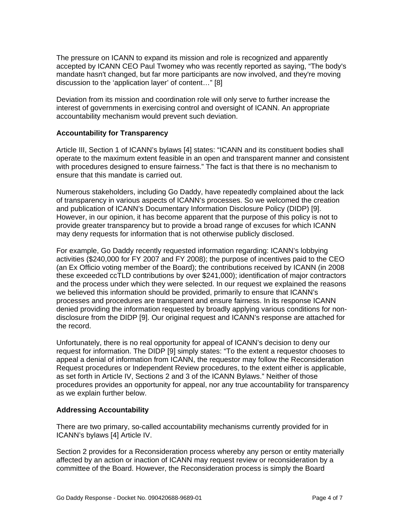The pressure on ICANN to expand its mission and role is recognized and apparently accepted by ICANN CEO Paul Twomey who was recently reported as saying, "The body's mandate hasn't changed, but far more participants are now involved, and they're moving discussion to the 'application layer' of content…" [8]

Deviation from its mission and coordination role will only serve to further increase the interest of governments in exercising control and oversight of ICANN. An appropriate accountability mechanism would prevent such deviation.

#### **Accountability for Transparency**

Article III, Section 1 of ICANN's bylaws [4] states: "ICANN and its constituent bodies shall operate to the maximum extent feasible in an open and transparent manner and consistent with procedures designed to ensure fairness." The fact is that there is no mechanism to ensure that this mandate is carried out.

Numerous stakeholders, including Go Daddy, have repeatedly complained about the lack of transparency in various aspects of ICANN's processes. So we welcomed the creation and publication of ICANN's Documentary Information Disclosure Policy (DIDP) [9]. However, in our opinion, it has become apparent that the purpose of this policy is not to provide greater transparency but to provide a broad range of excuses for which ICANN may deny requests for information that is not otherwise publicly disclosed.

For example, Go Daddy recently requested information regarding: ICANN's lobbying activities (\$240,000 for FY 2007 and FY 2008); the purpose of incentives paid to the CEO (an Ex Officio voting member of the Board); the contributions received by ICANN (in 2008 these exceeded ccTLD contributions by over \$241,000); identification of major contractors and the process under which they were selected. In our request we explained the reasons we believed this information should be provided, primarily to ensure that ICANN's processes and procedures are transparent and ensure fairness. In its response ICANN denied providing the information requested by broadly applying various conditions for nondisclosure from the DIDP [9]. Our original request and ICANN's response are attached for the record.

Unfortunately, there is no real opportunity for appeal of ICANN's decision to deny our request for information. The DIDP [9] simply states: "To the extent a requestor chooses to appeal a denial of information from ICANN, the requestor may follow the Reconsideration Request procedures or Independent Review procedures, to the extent either is applicable, as set forth in Article IV, Sections 2 and 3 of the ICANN Bylaws." Neither of those procedures provides an opportunity for appeal, nor any true accountability for transparency as we explain further below.

### **Addressing Accountability**

There are two primary, so-called accountability mechanisms currently provided for in ICANN's bylaws [4] Article IV.

Section 2 provides for a Reconsideration process whereby any person or entity materially affected by an action or inaction of ICANN may request review or reconsideration by a committee of the Board. However, the Reconsideration process is simply the Board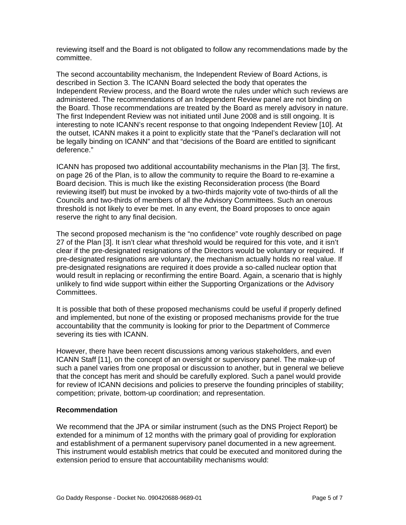reviewing itself and the Board is not obligated to follow any recommendations made by the committee.

The second accountability mechanism, the Independent Review of Board Actions, is described in Section 3. The ICANN Board selected the body that operates the Independent Review process, and the Board wrote the rules under which such reviews are administered. The recommendations of an Independent Review panel are not binding on the Board. Those recommendations are treated by the Board as merely advisory in nature. The first Independent Review was not initiated until June 2008 and is still ongoing. It is interesting to note ICANN's recent response to that ongoing Independent Review [10]. At the outset, ICANN makes it a point to explicitly state that the "Panel's declaration will not be legally binding on ICANN" and that "decisions of the Board are entitled to significant deference."

ICANN has proposed two additional accountability mechanisms in the Plan [3]. The first, on page 26 of the Plan, is to allow the community to require the Board to re-examine a Board decision. This is much like the existing Reconsideration process (the Board reviewing itself) but must be invoked by a two-thirds majority vote of two-thirds of all the Councils and two-thirds of members of all the Advisory Committees. Such an onerous threshold is not likely to ever be met. In any event, the Board proposes to once again reserve the right to any final decision.

The second proposed mechanism is the "no confidence" vote roughly described on page 27 of the Plan [3]. It isn't clear what threshold would be required for this vote, and it isn't clear if the pre-designated resignations of the Directors would be voluntary or required. If pre-designated resignations are voluntary, the mechanism actually holds no real value. If pre-designated resignations are required it does provide a so-called nuclear option that would result in replacing or reconfirming the entire Board. Again, a scenario that is highly unlikely to find wide support within either the Supporting Organizations or the Advisory Committees.

It is possible that both of these proposed mechanisms could be useful if properly defined and implemented, but none of the existing or proposed mechanisms provide for the true accountability that the community is looking for prior to the Department of Commerce severing its ties with ICANN.

However, there have been recent discussions among various stakeholders, and even ICANN Staff [11], on the concept of an oversight or supervisory panel. The make-up of such a panel varies from one proposal or discussion to another, but in general we believe that the concept has merit and should be carefully explored. Such a panel would provide for review of ICANN decisions and policies to preserve the founding principles of stability; competition; private, bottom-up coordination; and representation.

#### **Recommendation**

We recommend that the JPA or similar instrument (such as the DNS Project Report) be extended for a minimum of 12 months with the primary goal of providing for exploration and establishment of a permanent supervisory panel documented in a new agreement. This instrument would establish metrics that could be executed and monitored during the extension period to ensure that accountability mechanisms would: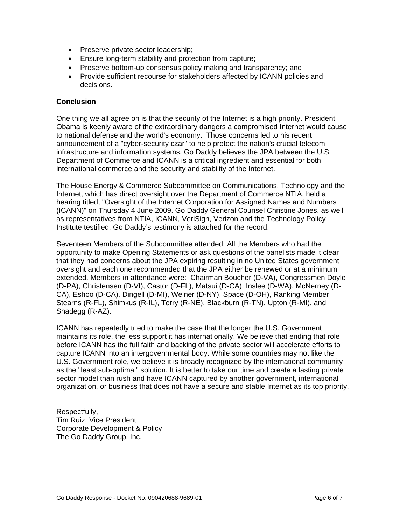- Preserve private sector leadership;
- Ensure long-term stability and protection from capture;
- Preserve bottom-up consensus policy making and transparency; and
- Provide sufficient recourse for stakeholders affected by ICANN policies and decisions.

#### **Conclusion**

One thing we all agree on is that the security of the Internet is a high priority. President Obama is keenly aware of the extraordinary dangers a compromised Internet would cause to national defense and the world's economy. Those concerns led to his recent announcement of a "cyber-security czar" to help protect the nation's crucial telecom infrastructure and information systems. Go Daddy believes the JPA between the U.S. Department of Commerce and ICANN is a critical ingredient and essential for both international commerce and the security and stability of the Internet.

The House Energy & Commerce Subcommittee on Communications, Technology and the Internet, which has direct oversight over the Department of Commerce NTIA, held a hearing titled, "Oversight of the Internet Corporation for Assigned Names and Numbers (ICANN)" on Thursday 4 June 2009. Go Daddy General Counsel Christine Jones, as well as representatives from NTIA, ICANN, VeriSign, Verizon and the Technology Policy Institute testified. Go Daddy's testimony is attached for the record.

Seventeen Members of the Subcommittee attended. All the Members who had the opportunity to make Opening Statements or ask questions of the panelists made it clear that they had concerns about the JPA expiring resulting in no United States government oversight and each one recommended that the JPA either be renewed or at a minimum extended. Members in attendance were: Chairman Boucher (D-VA), Congressmen Doyle (D-PA), Christensen (D-VI), Castor (D-FL), Matsui (D-CA), Inslee (D-WA), McNerney (D-CA), Eshoo (D-CA), Dingell (D-MI), Weiner (D-NY), Space (D-OH), Ranking Member Stearns (R-FL), Shimkus (R-IL), Terry (R-NE), Blackburn (R-TN), Upton (R-MI), and Shadegg (R-AZ).

ICANN has repeatedly tried to make the case that the longer the U.S. Government maintains its role, the less support it has internationally. We believe that ending that role before ICANN has the full faith and backing of the private sector will accelerate efforts to capture ICANN into an intergovernmental body. While some countries may not like the U.S. Government role, we believe it is broadly recognized by the international community as the "least sub-optimal" solution. It is better to take our time and create a lasting private sector model than rush and have ICANN captured by another government, international organization, or business that does not have a secure and stable Internet as its top priority.

Respectfully, Tim Ruiz, Vice President Corporate Development & Policy The Go Daddy Group, Inc.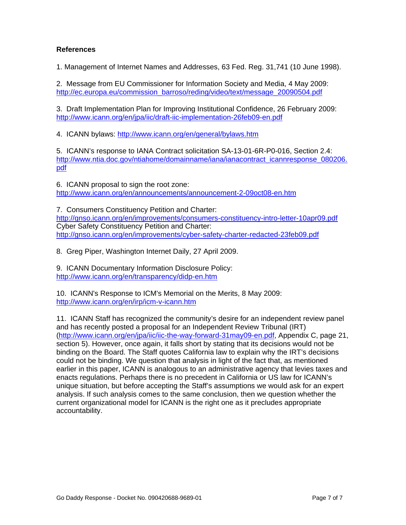### **References**

1. Management of Internet Names and Addresses, 63 Fed. Reg. 31,741 (10 June 1998).

2. Message from EU Commissioner for Information Society and Media, 4 May 2009: [http://ec.europa.eu/commission\\_barroso/reding/video/text/message\\_20090504.pdf](http://ec.europa.eu/commission_barroso/reding/video/text/message_20090504.pdf)

3. Draft Implementation Plan for Improving Institutional Confidence, 26 February 2009: <http://www.icann.org/en/jpa/iic/draft-iic-implementation-26feb09-en.pdf>

4. ICANN bylaws:<http://www.icann.org/en/general/bylaws.htm>

5. ICANN's response to IANA Contract solicitation SA-13-01-6R-P0-016, Section 2.4: [http://www.ntia.doc.gov/ntiahome/domainname/iana/ianacontract\\_icannresponse\\_080206.](http://www.ntia.doc.gov/ntiahome/domainname/iana/ianacontract_icannresponse_080206.pdf) [pdf](http://www.ntia.doc.gov/ntiahome/domainname/iana/ianacontract_icannresponse_080206.pdf)

6. ICANN proposal to sign the root zone: <http://www.icann.org/en/announcements/announcement-2-09oct08-en.htm>

7. Consumers Constituency Petition and Charter: <http://gnso.icann.org/en/improvements/consumers-constituency-intro-letter-10apr09.pdf> Cyber Safety Constituency Petition and Charter: <http://gnso.icann.org/en/improvements/cyber-safety-charter-redacted-23feb09.pdf>

8. Greg Piper, Washington Internet Daily, 27 April 2009.

9. ICANN Documentary Information Disclosure Policy: <http://www.icann.org/en/transparency/didp-en.htm>

10. ICANN's Response to ICM's Memorial on the Merits, 8 May 2009: <http://www.icann.org/en/irp/icm-v-icann.htm>

11. ICANN Staff has recognized the community's desire for an independent review panel and has recently posted a proposal for an Independent Review Tribunal (IRT) ([http://www.icann.org/en/jpa/iic/iic-the-way-forward-31may09-en.pdf,](http://www.icann.org/en/jpa/iic/iic-the-way-forward-31may09-en.pdf) Appendix C, page 21, section 5). However, once again, it falls short by stating that its decisions would not be binding on the Board. The Staff quotes California law to explain why the IRT's decisions could not be binding. We question that analysis in light of the fact that, as mentioned earlier in this paper, ICANN is analogous to an administrative agency that levies taxes and enacts regulations. Perhaps there is no precedent in California or US law for ICANN's unique situation, but before accepting the Staff's assumptions we would ask for an expert analysis. If such analysis comes to the same conclusion, then we question whether the current organizational model for ICANN is the right one as it precludes appropriate accountability.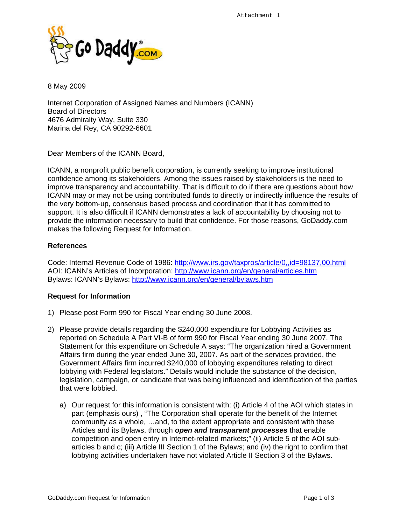

8 May 2009

Internet Corporation of Assigned Names and Numbers (ICANN) Board of Directors 4676 Admiralty Way, Suite 330 Marina del Rey, CA 90292-6601

Dear Members of the ICANN Board,

ICANN, a nonprofit public benefit corporation, is currently seeking to improve institutional confidence among its stakeholders. Among the issues raised by stakeholders is the need to improve transparency and accountability. That is difficult to do if there are questions about how ICANN may or may not be using contributed funds to directly or indirectly influence the results of the very bottom-up, consensus based process and coordination that it has committed to support. It is also difficult if ICANN demonstrates a lack of accountability by choosing not to provide the information necessary to build that confidence. For those reasons, GoDaddy.com makes the following Request for Information.

#### **References**

Code: Internal Revenue Code of 1986:<http://www.irs.gov/taxpros/article/0,,id=98137,00.html> AOI: ICANN's Articles of Incorporation: <http://www.icann.org/en/general/articles.htm> Bylaws: ICANN's Bylaws:<http://www.icann.org/en/general/bylaws.htm>

#### **Request for Information**

- 1) Please post Form 990 for Fiscal Year ending 30 June 2008.
- 2) Please provide details regarding the \$240,000 expenditure for Lobbying Activities as reported on Schedule A Part VI-B of form 990 for Fiscal Year ending 30 June 2007. The Statement for this expenditure on Schedule A says: "The organization hired a Government Affairs firm during the year ended June 30, 2007. As part of the services provided, the Government Affairs firm incurred \$240,000 of lobbying expenditures relating to direct lobbying with Federal legislators." Details would include the substance of the decision, legislation, campaign, or candidate that was being influenced and identification of the parties that were lobbied.
	- a) Our request for this information is consistent with: (i) Article 4 of the AOI which states in part (emphasis ours) , "The Corporation shall operate for the benefit of the Internet community as a whole, …and, to the extent appropriate and consistent with these Articles and its Bylaws, through *open and transparent processes* that enable competition and open entry in Internet-related markets;" (ii) Article 5 of the AOI subarticles b and c; (iii) Article III Section 1 of the Bylaws; and (iv) the right to confirm that lobbying activities undertaken have not violated Article II Section 3 of the Bylaws.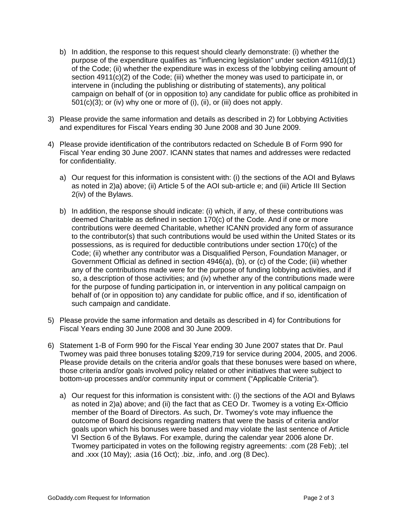- b) In addition, the response to this request should clearly demonstrate: (i) whether the purpose of the expenditure qualifies as "influencing legislation" under section 4911(d)(1) of the Code; (ii) whether the expenditure was in excess of the lobbying ceiling amount of section  $4911(c)(2)$  of the Code; (iii) whether the money was used to participate in, or intervene in (including the publishing or distributing of statements), any political campaign on behalf of (or in opposition to) any candidate for public office as prohibited in  $501(c)(3)$ ; or (iv) why one or more of (i), (ii), or (iii) does not apply.
- 3) Please provide the same information and details as described in 2) for Lobbying Activities and expenditures for Fiscal Years ending 30 June 2008 and 30 June 2009.
- 4) Please provide identification of the contributors redacted on Schedule B of Form 990 for Fiscal Year ending 30 June 2007. ICANN states that names and addresses were redacted for confidentiality.
	- a) Our request for this information is consistent with: (i) the sections of the AOI and Bylaws as noted in 2)a) above; (ii) Article 5 of the AOI sub-article e; and (iii) Article III Section 2(iv) of the Bylaws.
	- b) In addition, the response should indicate: (i) which, if any, of these contributions was deemed Charitable as defined in section 170(c) of the Code. And if one or more contributions were deemed Charitable, whether ICANN provided any form of assurance to the contributor(s) that such contributions would be used within the United States or its possessions, as is required for deductible contributions under section 170(c) of the Code; (ii) whether any contributor was a Disqualified Person, Foundation Manager, or Government Official as defined in section 4946(a), (b), or (c) of the Code; (iii) whether any of the contributions made were for the purpose of funding lobbying activities, and if so, a description of those activities; and (iv) whether any of the contributions made were for the purpose of funding participation in, or intervention in any political campaign on behalf of (or in opposition to) any candidate for public office, and if so, identification of such campaign and candidate.
- 5) Please provide the same information and details as described in 4) for Contributions for Fiscal Years ending 30 June 2008 and 30 June 2009.
- 6) Statement 1-B of Form 990 for the Fiscal Year ending 30 June 2007 states that Dr. Paul Twomey was paid three bonuses totaling \$209,719 for service during 2004, 2005, and 2006. Please provide details on the criteria and/or goals that these bonuses were based on where, those criteria and/or goals involved policy related or other initiatives that were subject to bottom-up processes and/or community input or comment ("Applicable Criteria").
	- a) Our request for this information is consistent with: (i) the sections of the AOI and Bylaws as noted in 2)a) above; and (ii) the fact that as CEO Dr. Twomey is a voting Ex-Officio member of the Board of Directors. As such, Dr. Twomey's vote may influence the outcome of Board decisions regarding matters that were the basis of criteria and/or goals upon which his bonuses were based and may violate the last sentence of Article VI Section 6 of the Bylaws. For example, during the calendar year 2006 alone Dr. Twomey participated in votes on the following registry agreements: .com (28 Feb); .tel and .xxx (10 May); .asia (16 Oct); .biz, .info, and .org (8 Dec).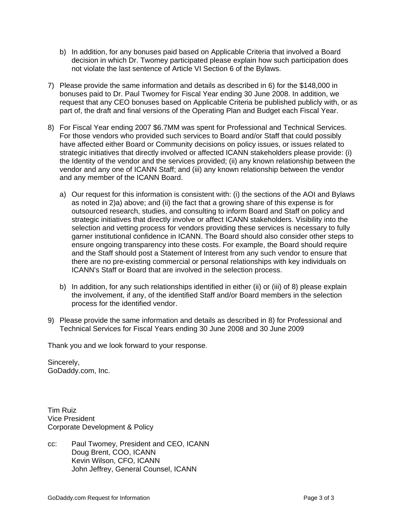- b) In addition, for any bonuses paid based on Applicable Criteria that involved a Board decision in which Dr. Twomey participated please explain how such participation does not violate the last sentence of Article VI Section 6 of the Bylaws.
- 7) Please provide the same information and details as described in 6) for the \$148,000 in bonuses paid to Dr. Paul Twomey for Fiscal Year ending 30 June 2008. In addition, we request that any CEO bonuses based on Applicable Criteria be published publicly with, or as part of, the draft and final versions of the Operating Plan and Budget each Fiscal Year.
- 8) For Fiscal Year ending 2007 \$6.7MM was spent for Professional and Technical Services. For those vendors who provided such services to Board and/or Staff that could possibly have affected either Board or Community decisions on policy issues, or issues related to strategic initiatives that directly involved or affected ICANN stakeholders please provide: (i) the Identity of the vendor and the services provided; (ii) any known relationship between the vendor and any one of ICANN Staff; and (iii) any known relationship between the vendor and any member of the ICANN Board.
	- a) Our request for this information is consistent with: (i) the sections of the AOI and Bylaws as noted in 2)a) above; and (ii) the fact that a growing share of this expense is for outsourced research, studies, and consulting to inform Board and Staff on policy and strategic initiatives that directly involve or affect ICANN stakeholders. Visibility into the selection and vetting process for vendors providing these services is necessary to fully garner institutional confidence in ICANN. The Board should also consider other steps to ensure ongoing transparency into these costs. For example, the Board should require and the Staff should post a Statement of Interest from any such vendor to ensure that there are no pre-existing commercial or personal relationships with key individuals on ICANN's Staff or Board that are involved in the selection process.
	- b) In addition, for any such relationships identified in either (ii) or (iii) of 8) please explain the involvement, if any, of the identified Staff and/or Board members in the selection process for the identified vendor.
- 9) Please provide the same information and details as described in 8) for Professional and Technical Services for Fiscal Years ending 30 June 2008 and 30 June 2009

Thank you and we look forward to your response.

Sincerely, GoDaddy.com, Inc.

Tim Ruiz Vice President Corporate Development & Policy

cc: Paul Twomey, President and CEO, ICANN Doug Brent, COO, ICANN Kevin Wilson, CFO, ICANN John Jeffrey, General Counsel, ICANN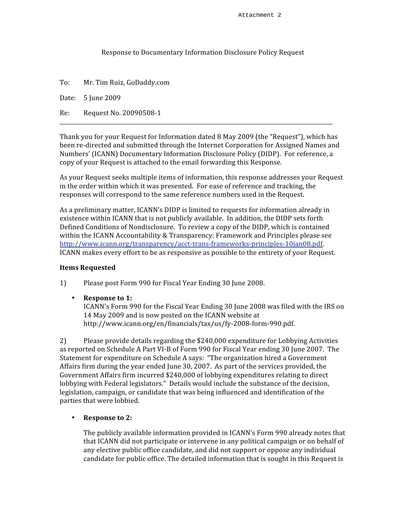#### Response
to
Documentary
Information
Disclosure
Policy
Request

To: Mr.
Tim
Ruiz,
GoDaddy.com Date: 5
June
2009 Re: Request
No.
20090508‐1

Thank you for your Request for Information dated 8 May 2009 (the "Request"), which has been re-directed and submitted through the Internet Corporation for Assigned Names and Numbers' (ICANN) Documentary Information Disclosure Policy (DIDP). For reference, a copy
of
your
Request
is
attached
to
the
email
forwarding
this
Response.

\_\_\_\_\_\_\_\_\_\_\_\_\_\_\_\_\_\_\_\_\_\_\_\_\_\_\_\_\_\_\_\_\_\_\_\_\_\_\_\_\_\_\_\_\_\_\_\_\_\_\_\_\_\_\_\_\_\_\_\_\_\_\_\_\_\_\_\_\_\_\_\_\_\_\_\_\_\_\_\_\_\_\_\_\_\_\_\_\_\_\_\_\_\_\_\_\_\_\_\_\_

As your Request seeks multiple items of information, this response addresses your Request in the order within which it was presented. For ease of reference and tracking, the responses will correspond to the same reference numbers used in the Request.

As a preliminary matter, ICANN's DIDP is limited to requests for information already in existence within ICANN that is not publicly available. In addition, the DIDP sets forth Defined Conditions of Nondisclosure. To review a copy of the DIDP, which is contained within the ICANN Accountability & Transparency: Framework and Principles please see http://www.icann.org/transparency/acct-trans-frameworks-principles-10jan08.pdf. ICANN makes every effort to be as responsive as possible to the entirety of your Request.

#### **Items
Requested**

1) Please
post
Form
990
for
Fiscal
Year
Ending
30
June
2008.

• **Response
to
1:**

ICANN's Form 990 for the Fiscal Year Ending 30 June 2008 was filed with the IRS on 14
May
2009
and
is
now
posted
on
the
ICANN
website
at http://www.icann.org/en/financials/tax/us/fy‐2008‐form‐990.pdf.

2) Please provide details regarding the \$240,000 expenditure for Lobbying Activities as reported on Schedule A Part VI-B of Form 990 for Fiscal Year ending 30 June 2007. The Statement
for
expenditure
on
Schedule
A
says:

"The
organization
hired
a
Government Affairs firm during the year ended June 30, 2007. As part of the services provided, the Government
Affairs
firm
incurred
\$240,000
of
lobbying
expenditures
relating
to
direct lobbying with Federal legislators." Details would include the substance of the decision, legislation, campaign, or candidate that was being influenced and identification of the parties
that
were
lobbied.

#### • **Response
to
2:**

The
publicly
available
information
provided
in
ICANN's
Form
990
already
notes
that that ICANN did not participate or intervene in any political campaign or on behalf of any
elective
public
office
candidate,
and
did
not
support
or
oppose
any
individual candidate for public office. The detailed information that is sought in this Request is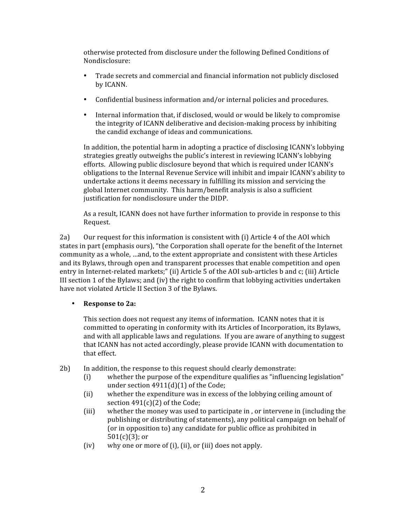otherwise
protected
from
disclosure
under
the
following
Defined
Conditions
of Nondisclosure:

- Trade
secrets
and
commercial
and
financial
information
not
publicly
disclosed by
ICANN.
- Confidential
business
information
and/or
internal
policies
and
procedures.
- Internal information that, if disclosed, would or would be likely to compromise the
integrity
of
ICANN
deliberative
and
decision‐making
process
by
inhibiting the
candid
exchange
of
ideas
and
communications.

In addition, the potential harm in adopting a practice of disclosing ICANN's lobbying strategies
greatly
outweighs
the
public's
interest
in
reviewing
ICANN's
lobbying efforts.

Allowing
public
disclosure
beyond
that
which
is
required
under
ICANN's obligations to the Internal Revenue Service will inhibit and impair ICANN's ability to undertake actions it deems necessary in fulfilling its mission and servicing the global
Internet
community.

This
harm/benefit
analysis
is
also
a
sufficient justification
for
nondisclosure
under
the
DIDP.

As
a
result,
ICANN
does
not
have
further
information
to
provide
in
response
to
this Request.

2a) Our request for this information is consistent with (i) Article 4 of the AOI which states in part (emphasis ours), "the Corporation shall operate for the benefit of the Internet community as a whole, ... and, to the extent appropriate and consistent with these Articles and its Bylaws, through open and transparent processes that enable competition and open entry in Internet-related markets;" (ii) Article 5 of the AOI sub-articles b and c; (iii) Article III section 1 of the Bylaws; and (iv) the right to confirm that lobbying activities undertaken have
not
violated
Article
II
Section
3
of
the
Bylaws.

• **Response
to
2a:**

This section does not request any items of information. ICANN notes that it is committed to operating in conformity with its Articles of Incorporation, its Bylaws, and with all applicable laws and regulations. If you are aware of anything to suggest that
ICANN
has
not
acted
accordingly,
please
provide
ICANN
with
documentation
to that
effect.

- 2b) In
addition,
the
response
to
this
request
should
clearly
demonstrate:
	- (i) whether
	the
	purpose
	of
	the
	expenditure
	qualifies
	as
	"influencing
	legislation" under section 4911(d)(1) of the Code;
	- (ii) whether
	the
	expenditure
	was
	in
	excess
	of
	the
	lobbying
	ceiling
	amount
	of section 491(c)(2) of the Code;
	- (iii) whether
	the
	money
	was
	used
	to
	participate
	in
	,
	or
	intervene
	in
	(including
	the publishing
	or
	distributing
	of
	statements),
	any
	political
	campaign
	on
	behalf
	of (or
	in
	opposition
	to)
	any
	candidate
	for
	public
	office
	as
	prohibited
	in 501(c)(3); or
	- (iv) why
	one
	or
	more
	of
	(i),
	(ii),
	or
	(iii)
	does
	not
	apply.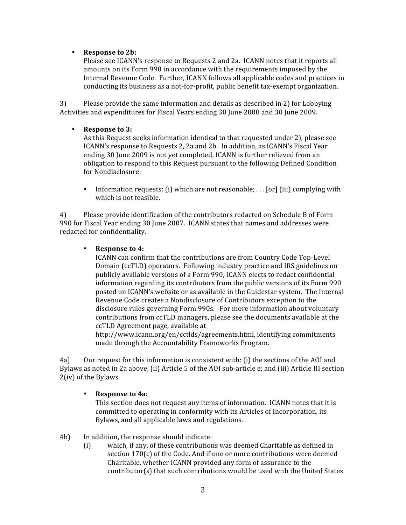#### • **Response
to
2b:**

Please see ICANN's response to Requests 2 and 2a. ICANN notes that it reports all amounts
on
its
Form
990
in
accordance
with
the
requirements
imposed
by
the Internal Revenue Code. Further, ICANN follows all applicable codes and practices in conducting
its
business
as
a
not‐for‐profit,
public
benefit
tax‐exempt
organization.

3) Please
provide
the
same
information
and
details
as
described
in
2)
for
Lobbying Activities
and
expenditures
for
Fiscal
Years
ending
30
June
2008
and
30
June
2009.

#### • **Response
to
3:**

As this Request seeks information identical to that requested under 2), please see ICANN's response to Requests 2, 2a and 2b. In addition, as ICANN's Fiscal Year ending 30 June 2009 is not vet completed, ICANN is further relieved from an obligation to respond to this Request pursuant to the following Defined Condition for
Nondisclosure:

• Information requests: (i) which are not reasonable; . . . [or] (iii) complying with which
is
not
feasible.

4) Please
provide
identification
of
the
contributors
redacted
on
Schedule
B
of
Form 990
for
Fiscal
Year
ending
30
June
2007.

ICANN
states
that
names
and
addresses
were redacted
for
confidentiality.

#### • **Response
to
4:**

ICANN
can
confirm
that
the
contributions
are
from
Country
Code
Top‐Level Domain
(ccTLD)
operators.

Following
industry
practice
and
IRS
guidelines
on publicly
available
versions
of
a
Form
990,
ICANN
elects
to
redact
confidential information
regarding
its
contributors
from
the
public
versions
of
its
Form
990 posted
on
ICANN's
website
or
as
available
in
the
Guidestar
system.

The
Internal Revenue Code creates a Nondisclosure of Contributors exception to the disclosure rules governing Form 990s. For more information about voluntary contributions
from
ccTLD
managers,
please
see
the
documents
available
at
the ccTLD
Agreement
page,
available
at

http://www.icann.org/en/cctlds/agreements.html,
identifying
commitments made
through
the
Accountability
Frameworks
Program.

4a) Our
request
for
this
information
is
consistent
with:
(i)
the
sections
of
the
AOI
and Bylaws as noted in 2a above, (ii) Article 5 of the AOI sub-article e; and (iii) Article III section 2(iv)
of
the
Bylaws.

### • **Response
to
4a:**

This section does not request any items of information. ICANN notes that it is committed
to
operating
in
conformity
with
its
Articles
of
Incorporation,
its Bylaws,
and
all
applicable
laws
and
regulations.

- 4b) In
addition,
the
response
should
indicate:
	- (i) which,
	if
	any,
	of
	these
	contributions
	was
	deemed
	Charitable
	as
	defined
	in section 170(c) of the Code. And if one or more contributions were deemed Charitable,
	whether
	ICANN
	provided
	any
	form
	of
	assurance
	to
	the contributor(s) that such contributions would be used with the United States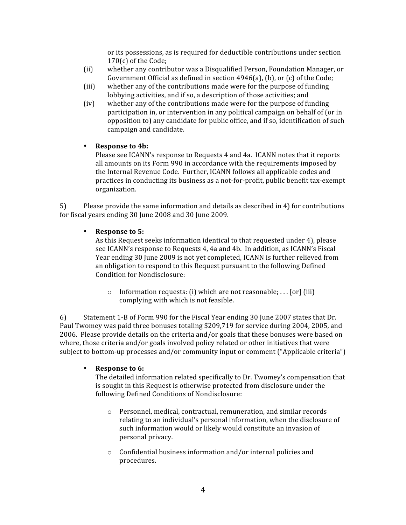or
its
possessions,
as
is
required
for
deductible
contributions
under
section 170(c)
of
the
Code;

- (ii) whether
any
contributor
was
a
Disqualified
Person,
Foundation
Manager,
or Government Official as defined in section 4946(a), (b), or (c) of the Code;
- (iii) whether
any
of
the
contributions
made
were
for
the
purpose
of
funding lobbying activities, and if so, a description of those activities; and
- (iv) whether
any
of
the
contributions
made
were
for
the
purpose
of
funding participation in, or intervention in any political campaign on behalf of (or in opposition
to)
any
candidate
for
public
office,
and
if
so,
identification
of
such campaign
and
candidate.

### • **Response
to
4b:**

Please
see
ICANN's
response
to
Requests
4
and
4a.

ICANN
notes
that
it
reports all
amounts
on
its
Form
990
in
accordance
with
the
requirements
imposed
by the
Internal
Revenue
Code.

Further,
ICANN
follows
all
applicable
codes
and practices
in
conducting
its
business
as
a
not‐for‐profit,
public
benefit
tax‐exempt organization.

5) Please
provide
the
same
information
and
details
as
described
in
4)
for
contributions for fiscal years ending 30 June 2008 and 30 June 2009.

### • **Response
to
5:**

As this Request seeks information identical to that requested under 4), please see
ICANN's
response
to
Requests
4,
4a
and
4b.

In
addition,
as
ICANN's
Fiscal Year
ending
30
June
2009
is
not
yet
completed,
ICANN
is
further
relieved
from an obligation to respond to this Request pursuant to the following Defined Condition
for
Nondisclosure:

 $\circ$  Information requests: (i) which are not reasonable; . . . [or] (iii) complying
with
which
is
not
feasible.

6) Statement
1‐B
of
Form
990
for
the
Fiscal
Year
ending
30
June
2007
states
that
Dr. Paul Twomey was paid three bonuses totaling \$209,719 for service during 2004, 2005, and 2006. Please provide details on the criteria and/or goals that these bonuses were based on where, those criteria and/or goals involved policy related or other initiatives that were subject to bottom-up processes and/or community input or comment ("Applicable criteria")

### • **Response
to
6:**

The
detailed
information
related
specifically
to
Dr.
Twomey's
compensation
that is
sought
in
this
Request
is
otherwise
protected
from
disclosure
under
the following
Defined
Conditions
of
Nondisclosure:

- o Personnel,
medical,
contractual,
remuneration,
and
similar
records relating
to
an
individual's
personal
information,
when
the
disclosure
of such
information
would
or
likely
would
constitute
an
invasion
of personal
privacy.
- o Confidential
business
information
and/or
internal
policies
and procedures.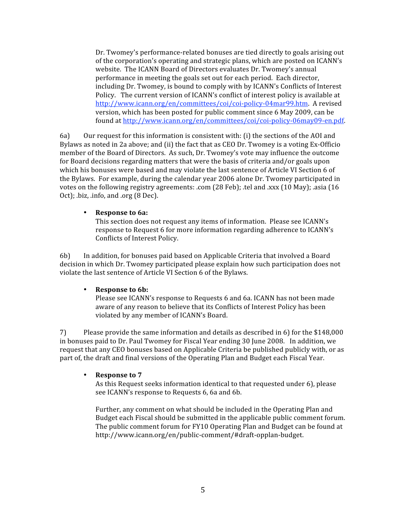Dr.
Twomey's
performance‐related
bonuses
are
tied
directly
to
goals
arising
out of
the
corporation's
operating
and
strategic
plans,
which
are
posted
on
ICANN's website. The ICANN Board of Directors evaluates Dr. Twomey's annual performance
in
meeting
the
goals
set
out
for
each
period.

Each
director, including Dr. Twomey, is bound to comply with by ICANN's Conflicts of Interest Policy. The current version of ICANN's conflict of interest policy is available at http://www.icann.org/en/committees/coi/coi-policy-04mar99.htm. A revised version,
which
has
been
posted
for
public
comment
since
6
May
2009,
can
be found
at
http://www.icann.org/en/committees/coi/coi‐policy‐06may09‐en.pdf.

6a) Our
request
for
this
information
is
consistent
with:
(i)
the
sections
of
the
AOI
and Bylaws as noted in 2a above; and (ii) the fact that as CEO Dr. Twomey is a voting Ex-Officio member of the Board of Directors. As such, Dr. Twomey's vote may influence the outcome for Board decisions regarding matters that were the basis of criteria and/or goals upon which his bonuses were based and may violate the last sentence of Article VI Section 6 of the
Bylaws.

For
example,
during
the
calendar
year
2006
alone
Dr.
Twomey
participated
in votes on the following registry agreements: .com (28 Feb); .tel and .xxx (10 May); .asia (16 Oct); biz, info, and .org (8 Dec).

#### • **Response
to
6a:**

This
section
does
not
request
any
items
of
information.

Please
see
ICANN's response
to
Request
6
for
more
information
regarding
adherence
to
ICANN's Conflicts
of
Interest
Policy.

6b) In
addition,
for
bonuses
paid
based
on
Applicable
Criteria
that
involved
a
Board decision
in
which
Dr.
Twomey
participated
please
explain
how
such
participation
does
not violate the last sentence of Article VI Section 6 of the Bylaws.

#### • **Response
to
6b:**

Please see ICANN's response to Requests 6 and 6a. ICANN has not been made aware
of
any
reason
to
believe
that
its
Conflicts
of
Interest
Policy
has
been violated
by
any
member
of
ICANN's
Board.

7) Please
provide
the
same
information
and
details
as
described
in
6)
for
the
\$148,000 in
bonuses
paid
to
Dr.
Paul
Twomey
for
Fiscal
Year
ending
30
June
2008.

In
addition,
we request that any CEO bonuses based on Applicable Criteria be published publicly with, or as part of, the draft and final versions of the Operating Plan and Budget each Fiscal Year.

#### • **Response
to
7**

As this Request seeks information identical to that requested under 6), please see
ICANN's
response
to
Requests
6,
6a
and
6b.

Further, any comment on what should be included in the Operating Plan and Budget each Fiscal should be submitted in the applicable public comment forum. The
public
comment
forum
for
FY10
Operating
Plan
and
Budget
can
be
found
at http://www.icann.org/en/public‐comment/#draft‐opplan‐budget.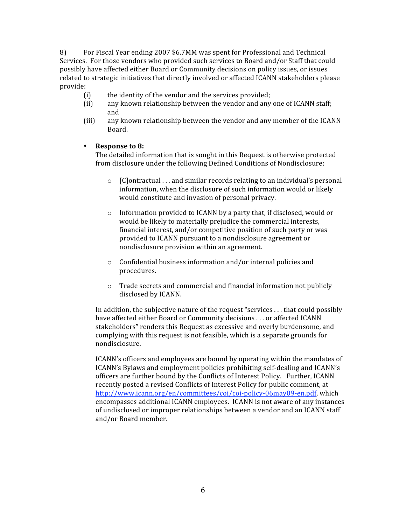8) For
Fiscal
Year
ending
2007
\$6.7MM
was
spent
for
Professional
and
Technical Services. For those vendors who provided such services to Board and/or Staff that could possibly have affected either Board or Community decisions on policy issues, or issues related to strategic initiatives that directly involved or affected ICANN stakeholders please provide:

- (i) the
identity
of
the
vendor
and
the
services
provided;
- (ii) any
known
relationship
between
the
vendor
and
any
one
of
ICANN
staff; and
- (iii) any
known
relationship
between
the
vendor
and
any
member
of
the
ICANN Board.

#### • **Response
to
8:**

The
detailed
information
that
is
sought
in
this
Request
is
otherwise
protected from
disclosure
under
the
following
Defined
Conditions
of
Nondisclosure:

- $\circ$  [C]ontractual ... and similar records relating to an individual's personal information,
when
the
disclosure
of
such
information
would
or
likely would
constitute
and
invasion
of
personal
privacy.
- o Information
provided
to
ICANN
by
a
party
that,
if
disclosed,
would
or would
be
likely
to
materially
prejudice
the
commercial
interests, financial interest, and/or competitive position of such party or was provided
to
ICANN
pursuant
to
a
nondisclosure
agreement
or nondisclosure
provision
within
an
agreement.
- o Confidential
business
information
and/or
internal
policies
and procedures.
- o Trade
secrets
and
commercial
and
financial
information
not
publicly disclosed
by
ICANN.

In addition, the subjective nature of the request "services . . . that could possibly have affected either Board or Community decisions . . . or affected ICANN stakeholders" renders this Request as excessive and overly burdensome, and complying
with
this
request
is
not
feasible,
which
is
a
separate
grounds
for nondisclosure.

ICANN's
officers
and
employees
are
bound
by
operating
within
the
mandates
of ICANN's
Bylaws
and
employment
policies
prohibiting
self‐dealing
and
ICANN's officers are further bound by the Conflicts of Interest Policy. Further, ICANN recently
posted
a
revised
Conflicts
of
Interest
Policy
for
public
comment,
at http://www.icann.org/en/committees/coi/coi-policy-06may09-en.pdf, which encompasses
additional
ICANN
employees.

ICANN
is
not
aware
of
any
instances of
undisclosed
or
improper
relationships
between
a
vendor
and
an
ICANN
staff and/or
Board
member.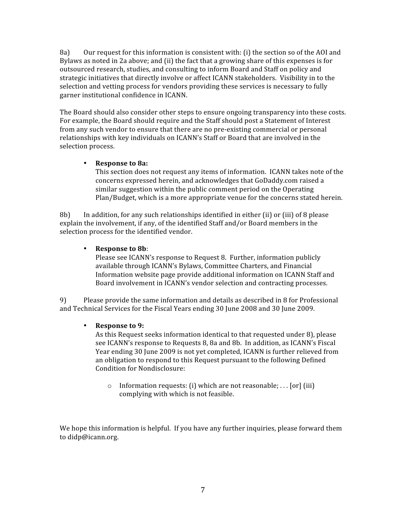8a) Our request for this information is consistent with: (i) the section so of the AOI and Bylaws as noted in 2a above; and (ii) the fact that a growing share of this expenses is for outsourced research, studies, and consulting to inform Board and Staff on policy and strategic initiatives that directly involve or affect ICANN stakeholders. Visibility in to the selection and vetting process for vendors providing these services is necessary to fully garner
institutional
confidence
in
ICANN.

The
Board
should
also
consider
other
steps
to
ensure
ongoing
transparency
into
these
costs. For example, the Board should require and the Staff should post a Statement of Interest from any such vendor to ensure that there are no pre-existing commercial or personal relationships with key individuals on ICANN's Staff or Board that are involved in the selection
process.

### • **Response
to
8a:**

This section does not request any items of information. ICANN takes note of the concerns
expressed
herein,
and
acknowledges
that
GoDaddy.com
raised
a similar
suggestion
within
the
public
comment
period
on
the
Operating Plan/Budget,
which
is
a
more
appropriate
venue
for
the
concerns
stated
herein.

8b) In addition, for any such relationships identified in either (ii) or (iii) of 8 please explain the involvement, if any, of the identified Staff and/or Board members in the selection
process
for
the
identified
vendor.

#### • **Response
to
8b**:

Please
see
ICANN's
response
to
Request
8.

Further,
information
publicly available
through
ICANN's
Bylaws,
Committee
Charters,
and
Financial Information
website
page
provide
additional
information
on
ICANN
Staff
and Board
involvement
in
ICANN's
vendor
selection
and
contracting
processes.

9) Please
provide
the
same
information
and
details
as
described
in
8
for
Professional and
Technical
Services
for
the
Fiscal
Years
ending
30
June
2008
and
30
June
2009.

#### • **Response
to
9:**

As this Request seeks information identical to that requested under 8), please see
ICANN's
response
to
Requests
8,
8a
and
8b.

In
addition,
as
ICANN's
Fiscal Year ending 30 June 2009 is not yet completed, ICANN is further relieved from an
obligation
to
respond
to
this
Request
pursuant
to
the
following
Defined Condition
for
Nondisclosure:

o Information requests: (i) which are not reasonable; . . . [or] (iii) complying
with
which
is
not
feasible.

We hope this information is helpful. If you have any further inquiries, please forward them to
didp@icann.org.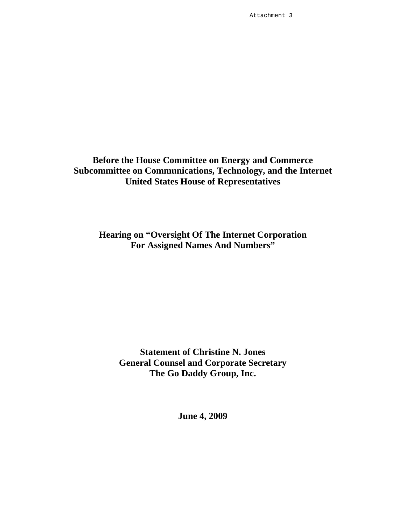Attachment 3

# **Before the House Committee on Energy and Commerce Subcommittee on Communications, Technology, and the Internet United States House of Representatives**

**Hearing on "Oversight Of The Internet Corporation For Assigned Names And Numbers"** 

**Statement of Christine N. Jones General Counsel and Corporate Secretary The Go Daddy Group, Inc.** 

**June 4, 2009**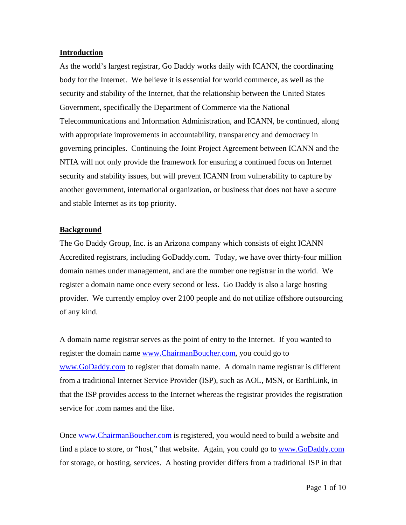#### **Introduction**

As the world's largest registrar, Go Daddy works daily with ICANN, the coordinating body for the Internet. We believe it is essential for world commerce, as well as the security and stability of the Internet, that the relationship between the United States Government, specifically the Department of Commerce via the National Telecommunications and Information Administration, and ICANN, be continued, along with appropriate improvements in accountability, transparency and democracy in governing principles. Continuing the Joint Project Agreement between ICANN and the NTIA will not only provide the framework for ensuring a continued focus on Internet security and stability issues, but will prevent ICANN from vulnerability to capture by another government, international organization, or business that does not have a secure and stable Internet as its top priority.

### **Background**

The Go Daddy Group, Inc. is an Arizona company which consists of eight ICANN Accredited registrars, including GoDaddy.com. Today, we have over thirty-four million domain names under management, and are the number one registrar in the world. We register a domain name once every second or less. Go Daddy is also a large hosting provider. We currently employ over 2100 people and do not utilize offshore outsourcing of any kind.

A domain name registrar serves as the point of entry to the Internet. If you wanted to register the domain name www.ChairmanBoucher.com, you could go to www.GoDaddy.com to register that domain name. A domain name registrar is different from a traditional Internet Service Provider (ISP), such as AOL, MSN, or EarthLink, in that the ISP provides access to the Internet whereas the registrar provides the registration service for .com names and the like.

Once www.ChairmanBoucher.com is registered, you would need to build a website and find a place to store, or "host," that website. Again, you could go to www.GoDaddy.com for storage, or hosting, services. A hosting provider differs from a traditional ISP in that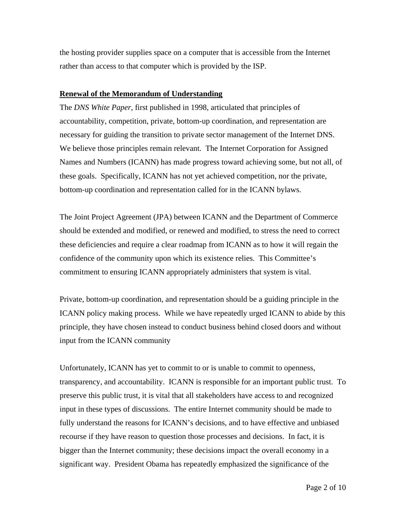the hosting provider supplies space on a computer that is accessible from the Internet rather than access to that computer which is provided by the ISP.

#### **Renewal of the Memorandum of Understanding**

The *DNS White Paper*, first published in 1998, articulated that principles of accountability, competition, private, bottom-up coordination, and representation are necessary for guiding the transition to private sector management of the Internet DNS. We believe those principles remain relevant. The Internet Corporation for Assigned Names and Numbers (ICANN) has made progress toward achieving some, but not all, of these goals. Specifically, ICANN has not yet achieved competition, nor the private, bottom-up coordination and representation called for in the ICANN bylaws.

The Joint Project Agreement (JPA) between ICANN and the Department of Commerce should be extended and modified, or renewed and modified, to stress the need to correct these deficiencies and require a clear roadmap from ICANN as to how it will regain the confidence of the community upon which its existence relies. This Committee's commitment to ensuring ICANN appropriately administers that system is vital.

Private, bottom-up coordination, and representation should be a guiding principle in the ICANN policy making process. While we have repeatedly urged ICANN to abide by this principle, they have chosen instead to conduct business behind closed doors and without input from the ICANN community

Unfortunately, ICANN has yet to commit to or is unable to commit to openness, transparency, and accountability. ICANN is responsible for an important public trust. To preserve this public trust, it is vital that all stakeholders have access to and recognized input in these types of discussions. The entire Internet community should be made to fully understand the reasons for ICANN's decisions, and to have effective and unbiased recourse if they have reason to question those processes and decisions. In fact, it is bigger than the Internet community; these decisions impact the overall economy in a significant way. President Obama has repeatedly emphasized the significance of the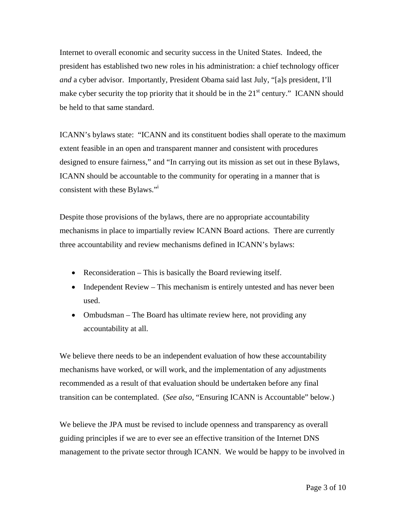Internet to overall economic and security success in the United States. Indeed, the president has established two new roles in his administration: a chief technology officer *and* a cyber advisor. Importantly, President Obama said last July, "[a]s president, I'll make cyber security the top priority that it should be in the  $21<sup>st</sup>$  century." ICANN should be held to that same standard.

ICANN's bylaws state: "ICANN and its constituent bodies shall operate to the maximum extent feasible in an open and transparent manner and consistent with procedures designed to ensure fairness," and "In carrying out its mission as set out in these Bylaws, ICANN should be accountable to the community for operating in a manner that is consistent with these Bylaws."<sup>i</sup>

Despite those provisions of the bylaws, there are no appropriate accountability mechanisms in place to impartially review ICANN Board actions. There are currently three accountability and review mechanisms defined in ICANN's bylaws:

- Reconsideration This is basically the Board reviewing itself.
- Independent Review This mechanism is entirely untested and has never been used.
- Ombudsman The Board has ultimate review here, not providing any accountability at all.

We believe there needs to be an independent evaluation of how these accountability mechanisms have worked, or will work, and the implementation of any adjustments recommended as a result of that evaluation should be undertaken before any final transition can be contemplated. (*See also*, "Ensuring ICANN is Accountable" below.)

We believe the JPA must be revised to include openness and transparency as overall guiding principles if we are to ever see an effective transition of the Internet DNS management to the private sector through ICANN. We would be happy to be involved in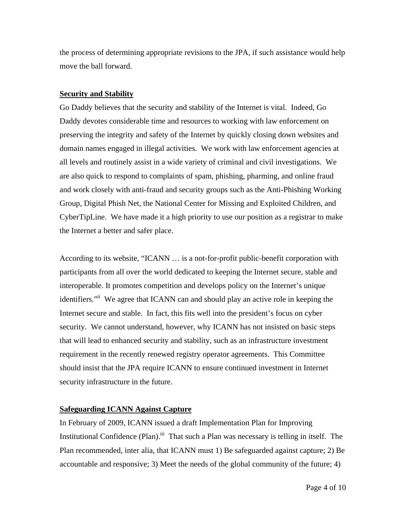the process of determining appropriate revisions to the JPA, if such assistance would help move the ball forward.

#### **Security and Stability**

Go Daddy believes that the security and stability of the Internet is vital. Indeed, Go Daddy devotes considerable time and resources to working with law enforcement on preserving the integrity and safety of the Internet by quickly closing down websites and domain names engaged in illegal activities. We work with law enforcement agencies at all levels and routinely assist in a wide variety of criminal and civil investigations. We are also quick to respond to complaints of spam, phishing, pharming, and online fraud and work closely with anti-fraud and security groups such as the Anti-Phishing Working Group, Digital Phish Net, the National Center for Missing and Exploited Children, and CyberTipLine. We have made it a high priority to use our position as a registrar to make the Internet a better and safer place.

According to its website, "ICANN … is a not-for-profit public-benefit corporation with participants from all over the world dedicated to keeping the Internet secure, stable and interoperable. It promotes competition and develops policy on the Internet's unique identifiers."<sup>ii</sup> We agree that ICANN can and should play an active role in keeping the Internet secure and stable. In fact, this fits well into the president's focus on cyber security. We cannot understand, however, why ICANN has not insisted on basic steps that will lead to enhanced security and stability, such as an infrastructure investment requirement in the recently renewed registry operator agreements. This Committee should insist that the JPA require ICANN to ensure continued investment in Internet security infrastructure in the future.

# **Safeguarding ICANN Against Capture**

In February of 2009, ICANN issued a draft Implementation Plan for Improving Institutional Confidence (Plan).<sup>iii</sup> That such a Plan was necessary is telling in itself. The Plan recommended, inter alia, that ICANN must 1) Be safeguarded against capture; 2) Be accountable and responsive; 3) Meet the needs of the global community of the future; 4)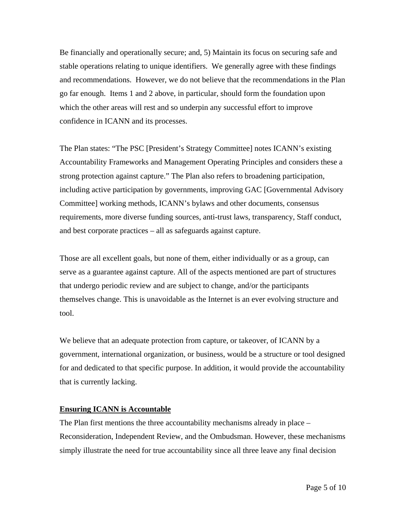Be financially and operationally secure; and, 5) Maintain its focus on securing safe and stable operations relating to unique identifiers. We generally agree with these findings and recommendations. However, we do not believe that the recommendations in the Plan go far enough. Items 1 and 2 above, in particular, should form the foundation upon which the other areas will rest and so underpin any successful effort to improve confidence in ICANN and its processes.

The Plan states: "The PSC [President's Strategy Committee] notes ICANN's existing Accountability Frameworks and Management Operating Principles and considers these a strong protection against capture." The Plan also refers to broadening participation, including active participation by governments, improving GAC [Governmental Advisory Committee] working methods, ICANN's bylaws and other documents, consensus requirements, more diverse funding sources, anti-trust laws, transparency, Staff conduct, and best corporate practices – all as safeguards against capture.

Those are all excellent goals, but none of them, either individually or as a group, can serve as a guarantee against capture. All of the aspects mentioned are part of structures that undergo periodic review and are subject to change, and/or the participants themselves change. This is unavoidable as the Internet is an ever evolving structure and tool.

We believe that an adequate protection from capture, or takeover, of ICANN by a government, international organization, or business, would be a structure or tool designed for and dedicated to that specific purpose. In addition, it would provide the accountability that is currently lacking.

### **Ensuring ICANN is Accountable**

The Plan first mentions the three accountability mechanisms already in place – Reconsideration, Independent Review, and the Ombudsman. However, these mechanisms simply illustrate the need for true accountability since all three leave any final decision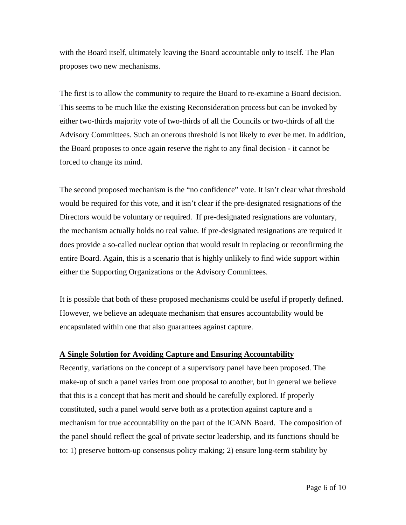with the Board itself, ultimately leaving the Board accountable only to itself. The Plan proposes two new mechanisms.

The first is to allow the community to require the Board to re-examine a Board decision. This seems to be much like the existing Reconsideration process but can be invoked by either two-thirds majority vote of two-thirds of all the Councils or two-thirds of all the Advisory Committees. Such an onerous threshold is not likely to ever be met. In addition, the Board proposes to once again reserve the right to any final decision - it cannot be forced to change its mind.

The second proposed mechanism is the "no confidence" vote. It isn't clear what threshold would be required for this vote, and it isn't clear if the pre-designated resignations of the Directors would be voluntary or required. If pre-designated resignations are voluntary, the mechanism actually holds no real value. If pre-designated resignations are required it does provide a so-called nuclear option that would result in replacing or reconfirming the entire Board. Again, this is a scenario that is highly unlikely to find wide support within either the Supporting Organizations or the Advisory Committees.

It is possible that both of these proposed mechanisms could be useful if properly defined. However, we believe an adequate mechanism that ensures accountability would be encapsulated within one that also guarantees against capture.

### **A Single Solution for Avoiding Capture and Ensuring Accountability**

Recently, variations on the concept of a supervisory panel have been proposed. The make-up of such a panel varies from one proposal to another, but in general we believe that this is a concept that has merit and should be carefully explored. If properly constituted, such a panel would serve both as a protection against capture and a mechanism for true accountability on the part of the ICANN Board. The composition of the panel should reflect the goal of private sector leadership, and its functions should be to: 1) preserve bottom-up consensus policy making; 2) ensure long-term stability by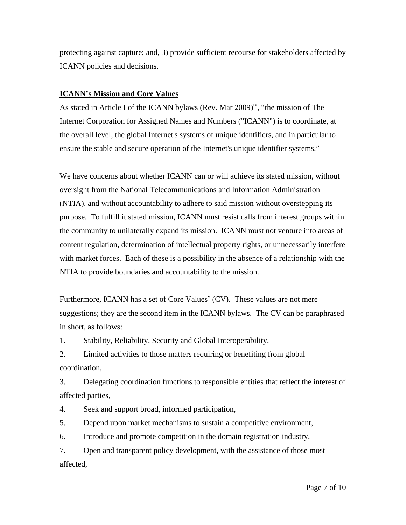protecting against capture; and, 3) provide sufficient recourse for stakeholders affected by ICANN policies and decisions.

# **ICANN's Mission and Core Values**

As stated in Article I of the ICANN bylaws (Rev. Mar  $2009)$ <sup>iv</sup>, "the mission of The Internet Corporation for Assigned Names and Numbers ("ICANN") is to coordinate, at the overall level, the global Internet's systems of unique identifiers, and in particular to ensure the stable and secure operation of the Internet's unique identifier systems."

We have concerns about whether ICANN can or will achieve its stated mission, without oversight from the National Telecommunications and Information Administration (NTIA), and without accountability to adhere to said mission without overstepping its purpose. To fulfill it stated mission, ICANN must resist calls from interest groups within the community to unilaterally expand its mission. ICANN must not venture into areas of content regulation, determination of intellectual property rights, or unnecessarily interfere with market forces. Each of these is a possibility in the absence of a relationship with the NTIA to provide boundaries and accountability to the mission.

Furthermore, ICANN has a set of Core Values<sup> $V$ </sup> (CV). These values are not mere suggestions; they are the second item in the ICANN bylaws. The CV can be paraphrased in short, as follows:

1. Stability, Reliability, Security and Global Interoperability,

2. Limited activities to those matters requiring or benefiting from global coordination,

3. Delegating coordination functions to responsible entities that reflect the interest of affected parties,

4. Seek and support broad, informed participation,

5. Depend upon market mechanisms to sustain a competitive environment,

6. Introduce and promote competition in the domain registration industry,

7. Open and transparent policy development, with the assistance of those most affected,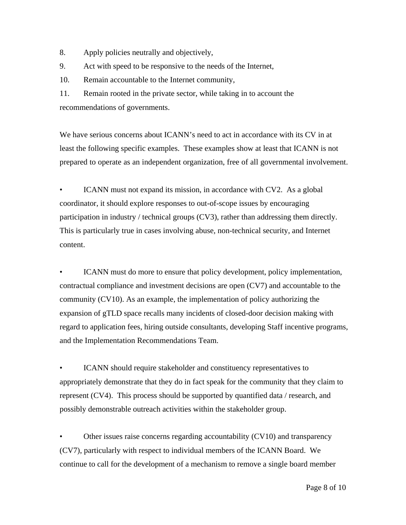- 8. Apply policies neutrally and objectively,
- 9. Act with speed to be responsive to the needs of the Internet,

10. Remain accountable to the Internet community,

11. Remain rooted in the private sector, while taking in to account the recommendations of governments.

We have serious concerns about ICANN's need to act in accordance with its CV in at least the following specific examples. These examples show at least that ICANN is not prepared to operate as an independent organization, free of all governmental involvement.

ICANN must not expand its mission, in accordance with CV2. As a global coordinator, it should explore responses to out-of-scope issues by encouraging participation in industry / technical groups (CV3), rather than addressing them directly. This is particularly true in cases involving abuse, non-technical security, and Internet content.

ICANN must do more to ensure that policy development, policy implementation, contractual compliance and investment decisions are open (CV7) and accountable to the community (CV10). As an example, the implementation of policy authorizing the expansion of gTLD space recalls many incidents of closed-door decision making with regard to application fees, hiring outside consultants, developing Staff incentive programs, and the Implementation Recommendations Team.

ICANN should require stakeholder and constituency representatives to appropriately demonstrate that they do in fact speak for the community that they claim to represent (CV4). This process should be supported by quantified data / research, and possibly demonstrable outreach activities within the stakeholder group.

• Other issues raise concerns regarding accountability (CV10) and transparency (CV7), particularly with respect to individual members of the ICANN Board. We continue to call for the development of a mechanism to remove a single board member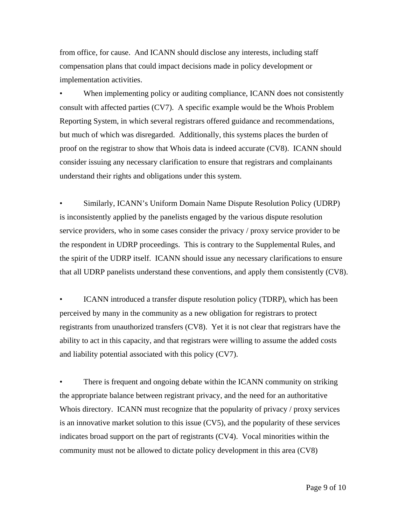from office, for cause. And ICANN should disclose any interests, including staff compensation plans that could impact decisions made in policy development or implementation activities.

When implementing policy or auditing compliance, ICANN does not consistently consult with affected parties (CV7). A specific example would be the Whois Problem Reporting System, in which several registrars offered guidance and recommendations, but much of which was disregarded. Additionally, this systems places the burden of proof on the registrar to show that Whois data is indeed accurate (CV8). ICANN should consider issuing any necessary clarification to ensure that registrars and complainants understand their rights and obligations under this system.

• Similarly, ICANN's Uniform Domain Name Dispute Resolution Policy (UDRP) is inconsistently applied by the panelists engaged by the various dispute resolution service providers, who in some cases consider the privacy / proxy service provider to be the respondent in UDRP proceedings. This is contrary to the Supplemental Rules, and the spirit of the UDRP itself. ICANN should issue any necessary clarifications to ensure that all UDRP panelists understand these conventions, and apply them consistently (CV8).

ICANN introduced a transfer dispute resolution policy (TDRP), which has been perceived by many in the community as a new obligation for registrars to protect registrants from unauthorized transfers (CV8). Yet it is not clear that registrars have the ability to act in this capacity, and that registrars were willing to assume the added costs and liability potential associated with this policy (CV7).

• There is frequent and ongoing debate within the ICANN community on striking the appropriate balance between registrant privacy, and the need for an authoritative Whois directory. ICANN must recognize that the popularity of privacy / proxy services is an innovative market solution to this issue (CV5), and the popularity of these services indicates broad support on the part of registrants (CV4). Vocal minorities within the community must not be allowed to dictate policy development in this area (CV8)